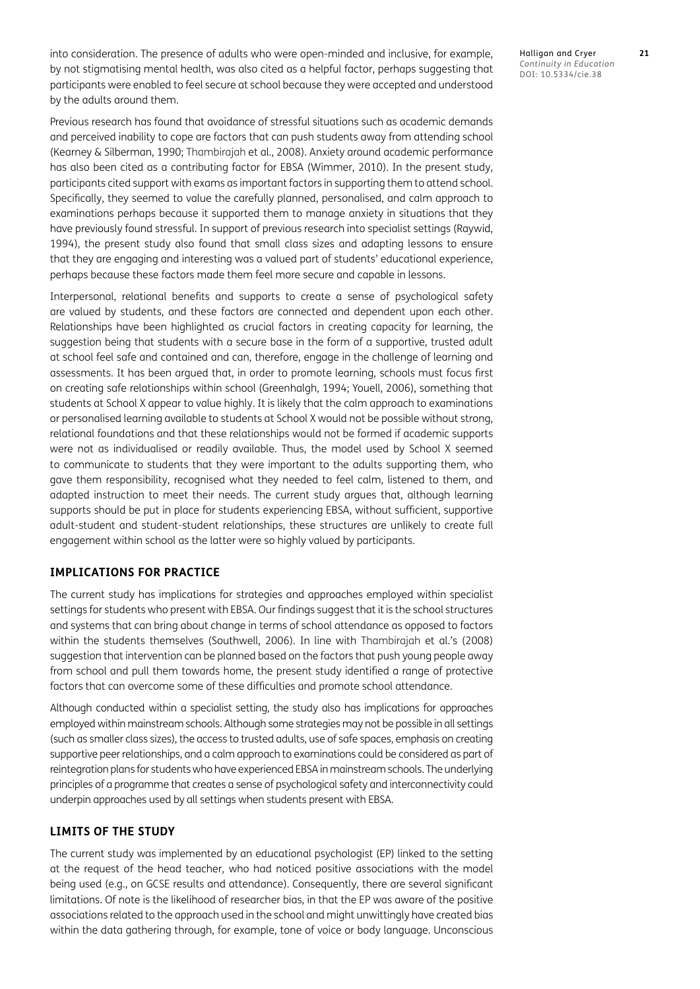into consideration. The presence of adults who were open-minded and inclusive, for example, by not stigmatising mental health, was also cited as a helpful factor, perhaps suggesting that participants were enabled to feel secure at school because they were accepted and understood by the adults around them.

Previous research has found that avoidance of stressful situations such as academic demands and perceived inability to cope are factors that can push students away from attending school [\(Kearney & Silberman, 1990](#page-11-0); [Thambirajah et al., 2008\)](#page-11-1). Anxiety around academic performance has also been cited as a contributing factor for EBSA [\(Wimmer, 2010\)](#page-11-2). In the present study, participants cited support with exams as important factors in supporting them to attend school. Specifically, they seemed to value the carefully planned, personalised, and calm approach to examinations perhaps because it supported them to manage anxiety in situations that they have previously found stressful. In support of previous research into specialist settings ([Raywid,](#page-11-3)  [1994](#page-11-3)), the present study also found that small class sizes and adapting lessons to ensure that they are engaging and interesting was a valued part of students' educational experience, perhaps because these factors made them feel more secure and capable in lessons.

Interpersonal, relational benefits and supports to create a sense of psychological safety are valued by students, and these factors are connected and dependent upon each other. Relationships have been highlighted as crucial factors in creating capacity for learning, the suggestion being that students with a secure base in the form of a supportive, trusted adult at school feel safe and contained and can, therefore, engage in the challenge of learning and assessments. It has been argued that, in order to promote learning, schools must focus first on creating safe relationships within school [\(Greenhalgh, 1994](#page-11-4); [Youell, 2006](#page-11-5)), something that students at School X appear to value highly. It is likely that the calm approach to examinations or personalised learning available to students at School X would not be possible without strong, relational foundations and that these relationships would not be formed if academic supports were not as individualised or readily available. Thus, the model used by School X seemed to communicate to students that they were important to the adults supporting them, who gave them responsibility, recognised what they needed to feel calm, listened to them, and adapted instruction to meet their needs. The current study argues that, although learning supports should be put in place for students experiencing EBSA, without sufficient, supportive adult-student and student-student relationships, these structures are unlikely to create full engagement within school as the latter were so highly valued by participants.

#### **IMPLICATIONS FOR PRACTICE**

The current study has implications for strategies and approaches employed within specialist settings for students who present with EBSA. Our findings suggest that it is the school structures and systems that can bring about change in terms of school attendance as opposed to factors within the students themselves [\(Southwell, 2006](#page-11-6)). In line with Thambirajah et al.'s ([2008\)](#page-11-1) suggestion that intervention can be planned based on the factors that push young people away from school and pull them towards home, the present study identified a range of protective factors that can overcome some of these difficulties and promote school attendance.

Although conducted within a specialist setting, the study also has implications for approaches employed within mainstream schools. Although some strategies may not be possible in all settings (such as smaller class sizes), the access to trusted adults, use of safe spaces, emphasis on creating supportive peer relationships, and a calm approach to examinations could be considered as part of reintegration plans for students who have experienced EBSA in mainstream schools. The underlying principles of a programme that creates a sense of psychological safety and interconnectivity could underpin approaches used by all settings when students present with EBSA.

#### **LIMITS OF THE STUDY**

The current study was implemented by an educational psychologist (EP) linked to the setting at the request of the head teacher, who had noticed positive associations with the model being used (e.g., on GCSE results and attendance). Consequently, there are several significant limitations. Of note is the likelihood of researcher bias, in that the EP was aware of the positive associations related to the approach used in the school and might unwittingly have created bias within the data gathering through, for example, tone of voice or body language. Unconscious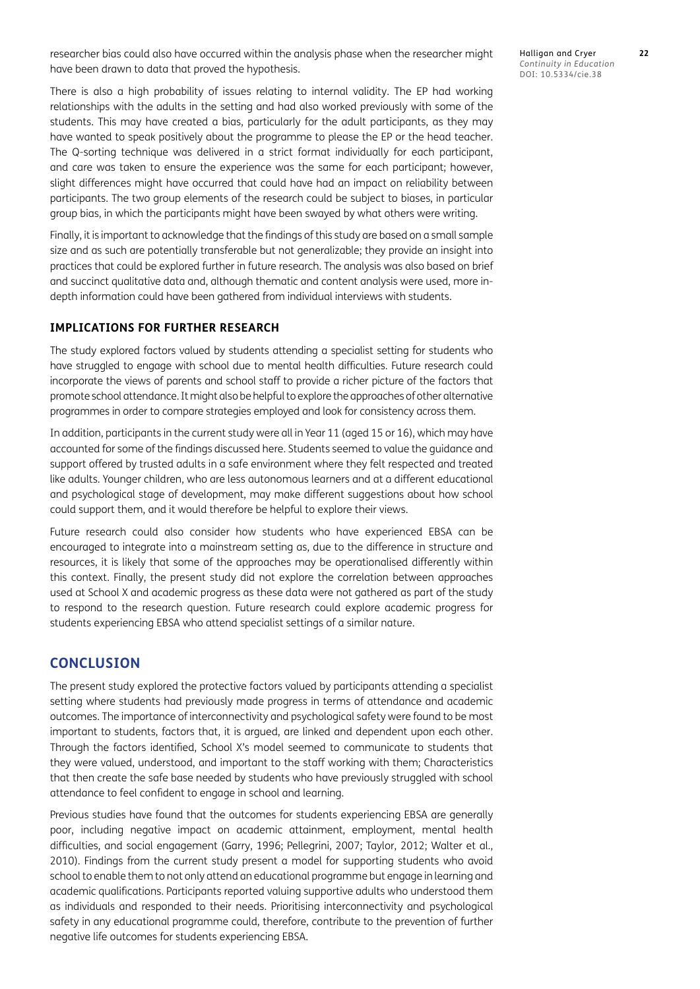researcher bias could also have occurred within the analysis phase when the researcher might have been drawn to data that proved the hypothesis.

There is also a high probability of issues relating to internal validity. The EP had working relationships with the adults in the setting and had also worked previously with some of the students. This may have created a bias, particularly for the adult participants, as they may have wanted to speak positively about the programme to please the EP or the head teacher. The Q-sorting technique was delivered in a strict format individually for each participant, and care was taken to ensure the experience was the same for each participant; however, slight differences might have occurred that could have had an impact on reliability between participants. The two group elements of the research could be subject to biases, in particular group bias, in which the participants might have been swayed by what others were writing.

Finally, it is important to acknowledge that the findings of this study are based on a small sample size and as such are potentially transferable but not generalizable; they provide an insight into practices that could be explored further in future research. The analysis was also based on brief and succinct qualitative data and, although thematic and content analysis were used, more indepth information could have been gathered from individual interviews with students.

#### **IMPLICATIONS FOR FURTHER RESEARCH**

The study explored factors valued by students attending a specialist setting for students who have struggled to engage with school due to mental health difficulties. Future research could incorporate the views of parents and school staff to provide a richer picture of the factors that promote school attendance. It might also be helpful to explore the approaches of other alternative programmes in order to compare strategies employed and look for consistency across them.

In addition, participants in the current study were all in Year 11 (aged 15 or 16), which may have accounted for some of the findings discussed here. Students seemed to value the guidance and support offered by trusted adults in a safe environment where they felt respected and treated like adults. Younger children, who are less autonomous learners and at a different educational and psychological stage of development, may make different suggestions about how school could support them, and it would therefore be helpful to explore their views.

Future research could also consider how students who have experienced EBSA can be encouraged to integrate into a mainstream setting as, due to the difference in structure and resources, it is likely that some of the approaches may be operationalised differently within this context. Finally, the present study did not explore the correlation between approaches used at School X and academic progress as these data were not gathered as part of the study to respond to the research question. Future research could explore academic progress for students experiencing EBSA who attend specialist settings of a similar nature.

#### **CONCLUSION**

The present study explored the protective factors valued by participants attending a specialist setting where students had previously made progress in terms of attendance and academic outcomes. The importance of interconnectivity and psychological safety were found to be most important to students, factors that, it is argued, are linked and dependent upon each other. Through the factors identified, School X's model seemed to communicate to students that they were valued, understood, and important to the staff working with them; Characteristics that then create the safe base needed by students who have previously struggled with school attendance to feel confident to engage in school and learning.

Previous studies have found that the outcomes for students experiencing EBSA are generally poor, including negative impact on academic attainment, employment, mental health difficulties, and social engagement [\(Garry, 1996;](#page-11-7) [Pellegrini, 2007](#page-11-8); [Taylor, 2012](#page-11-9); [Walter et al.,](#page-11-10)  [2010](#page-11-10)). Findings from the current study present a model for supporting students who avoid school to enable them to not only attend an educational programme but engage in learning and academic qualifications. Participants reported valuing supportive adults who understood them as individuals and responded to their needs. Prioritising interconnectivity and psychological safety in any educational programme could, therefore, contribute to the prevention of further negative life outcomes for students experiencing EBSA.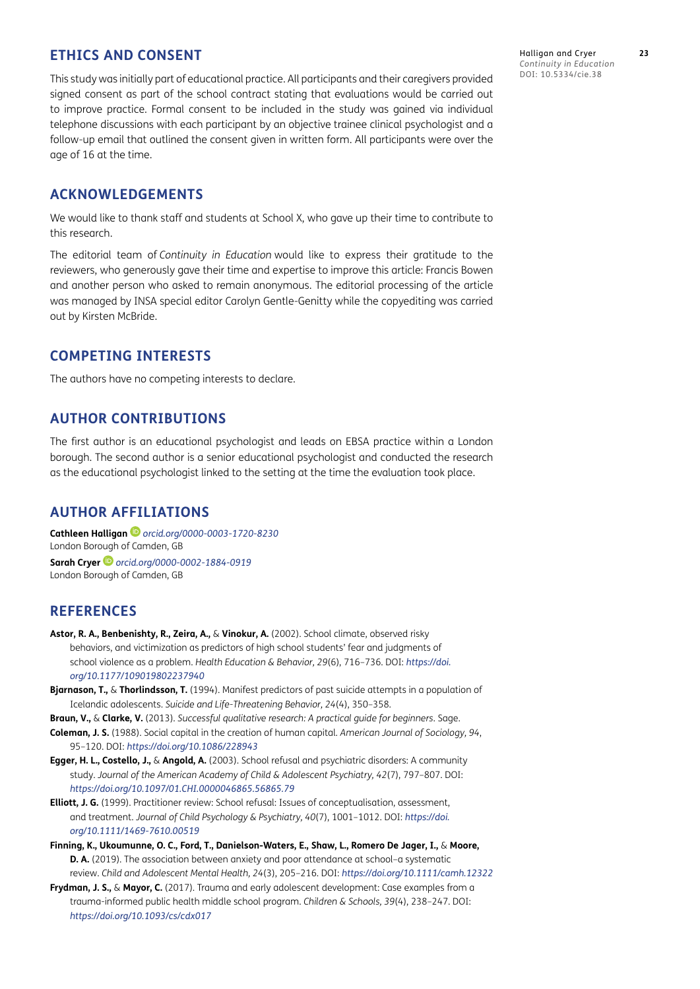# **ETHICS AND CONSENT**

This study was initially part of educational practice. All participants and their caregivers provided signed consent as part of the school contract stating that evaluations would be carried out to improve practice. Formal consent to be included in the study was gained via individual telephone discussions with each participant by an objective trainee clinical psychologist and a follow-up email that outlined the consent given in written form. All participants were over the age of 16 at the time.

#### **ACKNOWLEDGEMENTS**

We would like to thank staff and students at School X, who gave up their time to contribute to this research.

The editorial team of *Continuity in Education* would like to express their gratitude to the reviewers, who generously gave their time and expertise to improve this article: Francis Bowen and another person who asked to remain anonymous. The editorial processing of the article was managed by INSA special editor Carolyn Gentle-Genitty while the copyediting was carried out by Kirsten McBride.

# **COMPETING INTERESTS**

The authors have no competing interests to declare.

# **AUTHOR CONTRIBUTIONS**

The first author is an educational psychologist and leads on EBSA practice within a London borough. The second author is a senior educational psychologist and conducted the research as the educational psychologist linked to the setting at the time the evaluation took place.

# **AUTHOR AFFILIATIONS**

**Cathleen Halligan** *[orcid.org/0000-0003-1720-8230](https://orcid.org/0000-0003-1720-8230)* London Borough of Camden, GB **Sarah Cryer** *[orcid.org/0000-0002-1884-0919](https://orcid.org/0000-0002-1884-0919)* London Borough of Camden, GB

# **REFERENCES**

- **Astor, R. A., Benbenishty, R., Zeira, A.,** & **Vinokur, A.** (2002). School climate, observed risky behaviors, and victimization as predictors of high school students' fear and judgments of school violence as a problem. *Health Education & Behavior, 29*(6), 716–736. DOI: *[https://doi.](https://doi.org/10.1177/109019802237940 ) [org/10.1177/109019802237940](https://doi.org/10.1177/109019802237940 )*
- **Bjarnason, T.,** & **Thorlindsson, T.** (1994). Manifest predictors of past suicide attempts in a population of Icelandic adolescents. *Suicide and Life-Threatening Behavior, 24*(4), 350–358.
- **Braun, V.,** & **Clarke, V.** (2013). *Successful qualitative research: A practical guide for beginners*. Sage.
- **Coleman, J. S.** (1988). Social capital in the creation of human capital. *American Journal of Sociology, 94*, 95–120. DOI: *[https://doi.org/10.1086/228943](https://doi.org/10.1086/228943 )*
- **Egger, H. L., Costello, J.,** & **Angold, A.** (2003). School refusal and psychiatric disorders: A community study. *Journal of the American Academy of Child & Adolescent Psychiatry, 42*(7), 797–807. DOI: *[https://doi.org/10.1097/01.CHI.0000046865.56865.79](https://doi.org/10.1097/01.CHI.0000046865.56865.79 )*
- **Elliott, J. G.** (1999). Practitioner review: School refusal: Issues of conceptualisation, assessment, and treatment. *Journal of Child Psychology & Psychiatry, 40*(7), 1001–1012. DOI: *[https://doi.](https://doi.org/10.1111/1469-7610.00519) [org/10.1111/1469-7610.00519](https://doi.org/10.1111/1469-7610.00519)*
- **Finning, K., Ukoumunne, O. C., Ford, T., Danielson-Waters, E., Shaw, L., Romero De Jager, I.,** & **Moore, D. A.** (2019). The association between anxiety and poor attendance at school-a systematic review. *Child and Adolescent Mental Health, 24*(3), 205–216. DOI: *[https://doi.org/10.1111/camh.12322](https://doi.org/10.1111/camh.12322 )*
- **Frydman, J. S.,** & **Mayor, C.** (2017). Trauma and early adolescent development: Case examples from a trauma-informed public health middle school program. *Children & Schools, 39*(4), 238–247. DOI: *[https://doi.org/10.1093/cs/cdx017](https://doi.org/10.1093/cs/cdx017 )*